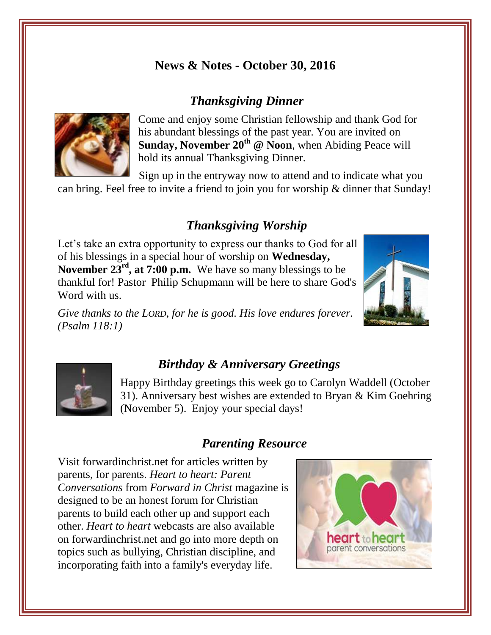## **News & Notes - October 30, 2016**

# *Thanksgiving Dinner*



Come and enjoy some Christian fellowship and thank God for his abundant blessings of the past year. You are invited on Sunday, November 20<sup>th</sup> @ Noon, when Abiding Peace will hold its annual Thanksgiving Dinner.

Sign up in the entryway now to attend and to indicate what you can bring. Feel free to invite a friend to join you for worship & dinner that Sunday!

# *Thanksgiving Worship*

Let's take an extra opportunity to express our thanks to God for all of his blessings in a special hour of worship on **Wednesday, November 23<sup>rd</sup>, at 7:00 p.m.** We have so many blessings to be thankful for! Pastor Philip Schupmann will be here to share God's Word with us.

*Give thanks to the LORD, for he is good. His love endures forever. (Psalm 118:1)*





### *Birthday & Anniversary Greetings*

Happy Birthday greetings this week go to Carolyn Waddell (October 31). Anniversary best wishes are extended to Bryan & Kim Goehring (November 5). Enjoy your special days!

### *Parenting Resource*

Visit forwardinchrist.net for articles written by parents, for parents. *Heart to heart: Parent Conversations* from *Forward in Christ* magazine is designed to be an honest forum for Christian parents to build each other up and support each other. *Heart to heart* webcasts are also available on forwardinchrist.net and go into more depth on topics such as bullying, Christian discipline, and incorporating faith into a family's everyday life.